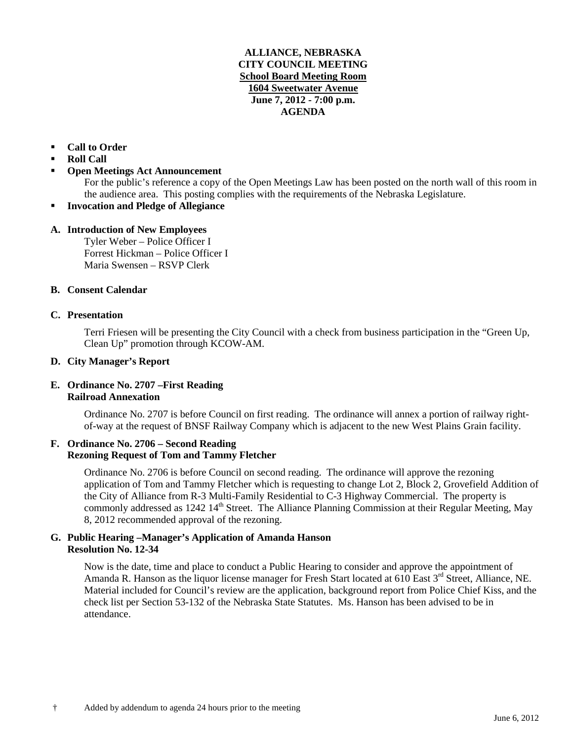## **ALLIANCE, NEBRASKA CITY COUNCIL MEETING School Board Meeting Room 1604 Sweetwater Avenue June 7, 2012 - 7:00 p.m. AGENDA**

# **Call to Order**

- **Roll Call**
- **Open Meetings Act Announcement**

For the public's reference a copy of the Open Meetings Law has been posted on the north wall of this room in the audience area. This posting complies with the requirements of the Nebraska Legislature.

**Invocation and Pledge of Allegiance**

## **A. Introduction of New Employees**

Tyler Weber – Police Officer I Forrest Hickman – Police Officer I Maria Swensen – RSVP Clerk

## **B. Consent Calendar**

## **C. Presentation**

Terri Friesen will be presenting the City Council with a check from business participation in the "Green Up, Clean Up" promotion through KCOW-AM.

## **D. City Manager's Report**

# **E. Ordinance No. 2707 –First Reading Railroad Annexation**

Ordinance No. 2707 is before Council on first reading. The ordinance will annex a portion of railway rightof-way at the request of BNSF Railway Company which is adjacent to the new West Plains Grain facility.

## **F. Ordinance No. 2706 – Second Reading Rezoning Request of Tom and Tammy Fletcher**

Ordinance No. 2706 is before Council on second reading. The ordinance will approve the rezoning application of Tom and Tammy Fletcher which is requesting to change Lot 2, Block 2, Grovefield Addition of the City of Alliance from R-3 Multi-Family Residential to C-3 Highway Commercial. The property is commonly addressed as 1242 14<sup>th</sup> Street. The Alliance Planning Commission at their Regular Meeting, May 8, 2012 recommended approval of the rezoning.

# **G. Public Hearing –Manager's Application of Amanda Hanson Resolution No. 12-34**

Now is the date, time and place to conduct a Public Hearing to consider and approve the appointment of Amanda R. Hanson as the liquor license manager for Fresh Start located at 610 East 3<sup>rd</sup> Street, Alliance, NE. Material included for Council's review are the application, background report from Police Chief Kiss, and the check list per Section 53-132 of the Nebraska State Statutes. Ms. Hanson has been advised to be in attendance.